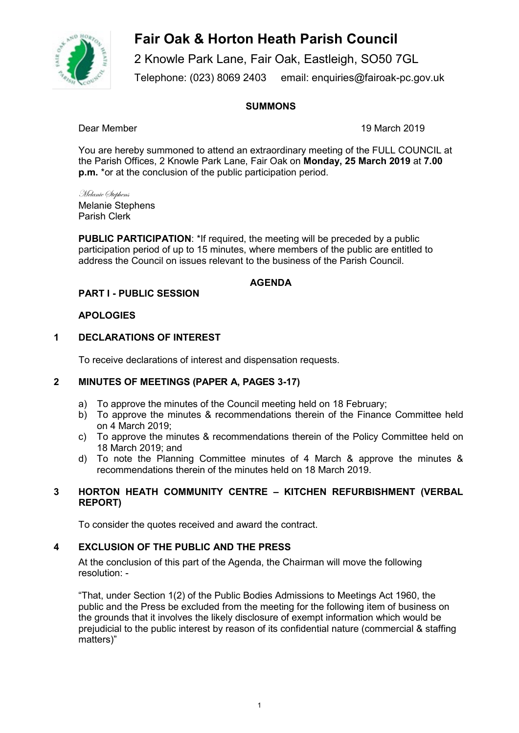

2 Knowle Park Lane, Fair Oak, Eastleigh, SO50 7GL Telephone: (023) 8069 2403 email: enquiries@fairoak-pc.gov.uk

## **SUMMONS**

Dear Member 19 March 2019

You are hereby summoned to attend an extraordinary meeting of the FULL COUNCIL at the Parish Offices, 2 Knowle Park Lane, Fair Oak on **Monday, 25 March 2019** at **7.00 p.m.** \*or at the conclusion of the public participation period.

Melanie Stephens Melanie Stephens Parish Clerk

**PUBLIC PARTICIPATION**: \*If required, the meeting will be preceded by a public participation period of up to 15 minutes, where members of the public are entitled to address the Council on issues relevant to the business of the Parish Council.

## **AGENDA**

## **PART I - PUBLIC SESSION**

## **APOLOGIES**

#### **1 DECLARATIONS OF INTEREST**

To receive declarations of interest and dispensation requests.

#### **2 MINUTES OF MEETINGS (PAPER A, PAGES 3-17)**

- a) To approve the minutes of the Council meeting held on 18 February;
- b) To approve the minutes & recommendations therein of the Finance Committee held on 4 March 2019;
- c) To approve the minutes & recommendations therein of the Policy Committee held on 18 March 2019; and
- d) To note the Planning Committee minutes of 4 March & approve the minutes & recommendations therein of the minutes held on 18 March 2019.

## **3 HORTON HEATH COMMUNITY CENTRE – KITCHEN REFURBISHMENT (VERBAL REPORT)**

To consider the quotes received and award the contract.

## **4 EXCLUSION OF THE PUBLIC AND THE PRESS**

At the conclusion of this part of the Agenda, the Chairman will move the following resolution: -

"That, under Section 1(2) of the Public Bodies Admissions to Meetings Act 1960, the public and the Press be excluded from the meeting for the following item of business on the grounds that it involves the likely disclosure of exempt information which would be prejudicial to the public interest by reason of its confidential nature (commercial & staffing matters)"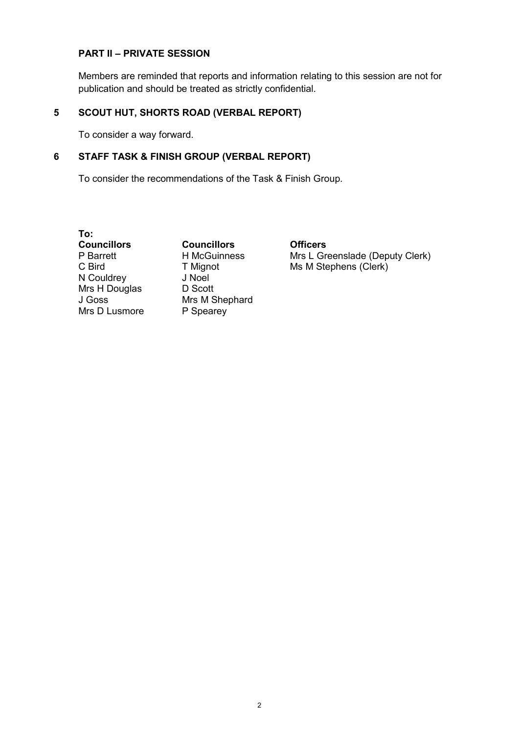## **PART II – PRIVATE SESSION**

Members are reminded that reports and information relating to this session are not for publication and should be treated as strictly confidential.

## **5 SCOUT HUT, SHORTS ROAD (VERBAL REPORT)**

To consider a way forward.

## **6 STAFF TASK & FINISH GROUP (VERBAL REPORT)**

To consider the recommendations of the Task & Finish Group.

**To:**  P Barrett C Bird N Couldrey Mrs H Douglas J Goss Mrs D Lusmore

**Councillors Councillors Officers**  H McGuinness T Mignot J Noel D Scott Mrs M Shephard P Spearey

Mrs L Greenslade (Deputy Clerk) Ms M Stephens (Clerk)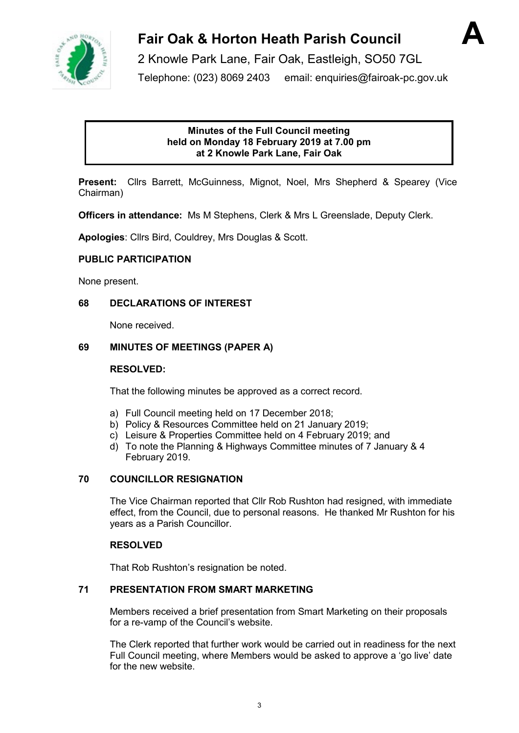



2 Knowle Park Lane, Fair Oak, Eastleigh, SO50 7GL Telephone: (023) 8069 2403 email: enquiries@fairoak-pc.gov.uk

## **Minutes of the Full Council meeting held on Monday 18 February 2019 at 7.00 pm at 2 Knowle Park Lane, Fair Oak**

**Present:** Cllrs Barrett, McGuinness, Mignot, Noel, Mrs Shepherd & Spearey (Vice Chairman)

**Officers in attendance:** Ms M Stephens, Clerk & Mrs L Greenslade, Deputy Clerk.

**Apologies**: Cllrs Bird, Couldrey, Mrs Douglas & Scott.

## **PUBLIC PARTICIPATION**

None present.

## **68 DECLARATIONS OF INTEREST**

None received.

## **69 MINUTES OF MEETINGS (PAPER A)**

## **RESOLVED:**

That the following minutes be approved as a correct record.

- a) Full Council meeting held on 17 December 2018;
- b) Policy & Resources Committee held on 21 January 2019;
- c) Leisure & Properties Committee held on 4 February 2019; and
- d) To note the Planning & Highways Committee minutes of 7 January & 4 February 2019.

## **70 COUNCILLOR RESIGNATION**

The Vice Chairman reported that Cllr Rob Rushton had resigned, with immediate effect, from the Council, due to personal reasons. He thanked Mr Rushton for his years as a Parish Councillor.

## **RESOLVED**

That Rob Rushton's resignation be noted.

## **71 PRESENTATION FROM SMART MARKETING**

Members received a brief presentation from Smart Marketing on their proposals for a re-vamp of the Council's website.

The Clerk reported that further work would be carried out in readiness for the next Full Council meeting, where Members would be asked to approve a 'go live' date for the new website.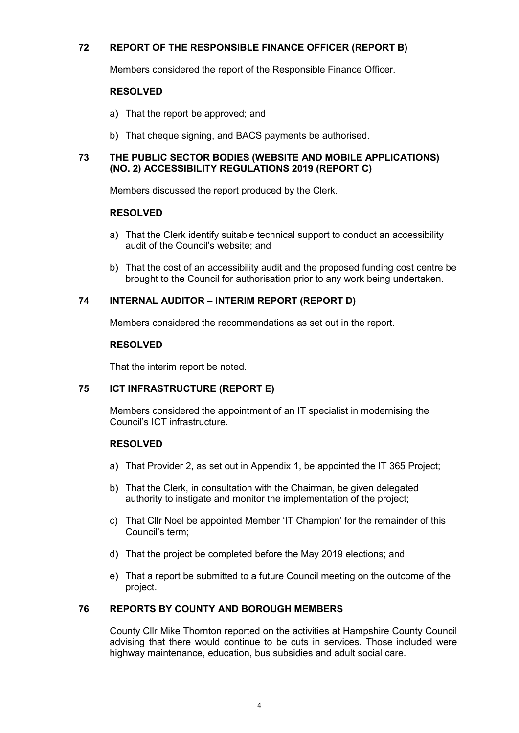## **72 REPORT OF THE RESPONSIBLE FINANCE OFFICER (REPORT B)**

Members considered the report of the Responsible Finance Officer.

## **RESOLVED**

- a) That the report be approved; and
- b) That cheque signing, and BACS payments be authorised.

## **73 THE PUBLIC SECTOR BODIES (WEBSITE AND MOBILE APPLICATIONS) (NO. 2) ACCESSIBILITY REGULATIONS 2019 (REPORT C)**

Members discussed the report produced by the Clerk.

## **RESOLVED**

- a) That the Clerk identify suitable technical support to conduct an accessibility audit of the Council's website; and
- b) That the cost of an accessibility audit and the proposed funding cost centre be brought to the Council for authorisation prior to any work being undertaken.

## **74 INTERNAL AUDITOR – INTERIM REPORT (REPORT D)**

Members considered the recommendations as set out in the report.

## **RESOLVED**

That the interim report be noted.

## **75 ICT INFRASTRUCTURE (REPORT E)**

Members considered the appointment of an IT specialist in modernising the Council's ICT infrastructure.

## **RESOLVED**

- a) That Provider 2, as set out in Appendix 1, be appointed the IT 365 Project;
- b) That the Clerk, in consultation with the Chairman, be given delegated authority to instigate and monitor the implementation of the project;
- c) That Cllr Noel be appointed Member 'IT Champion' for the remainder of this Council's term;
- d) That the project be completed before the May 2019 elections; and
- e) That a report be submitted to a future Council meeting on the outcome of the project.

## **76 REPORTS BY COUNTY AND BOROUGH MEMBERS**

County Cllr Mike Thornton reported on the activities at Hampshire County Council advising that there would continue to be cuts in services. Those included were highway maintenance, education, bus subsidies and adult social care.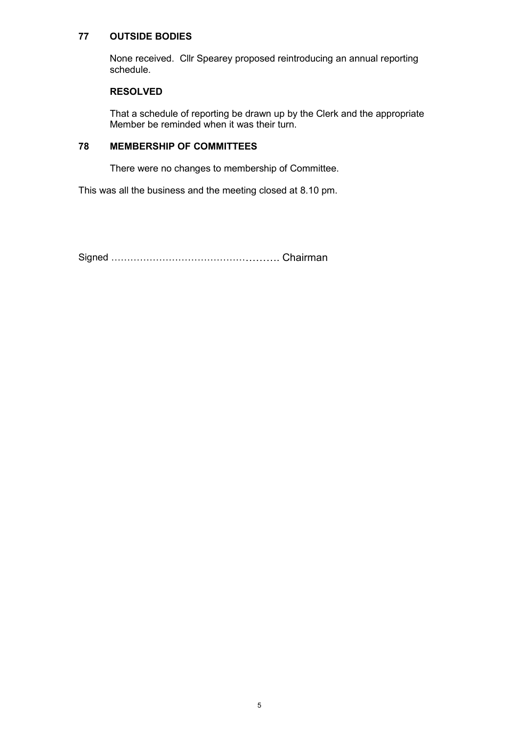## **77 OUTSIDE BODIES**

None received. Cllr Spearey proposed reintroducing an annual reporting schedule.

## **RESOLVED**

That a schedule of reporting be drawn up by the Clerk and the appropriate Member be reminded when it was their turn.

## **78 MEMBERSHIP OF COMMITTEES**

There were no changes to membership of Committee.

This was all the business and the meeting closed at 8.10 pm.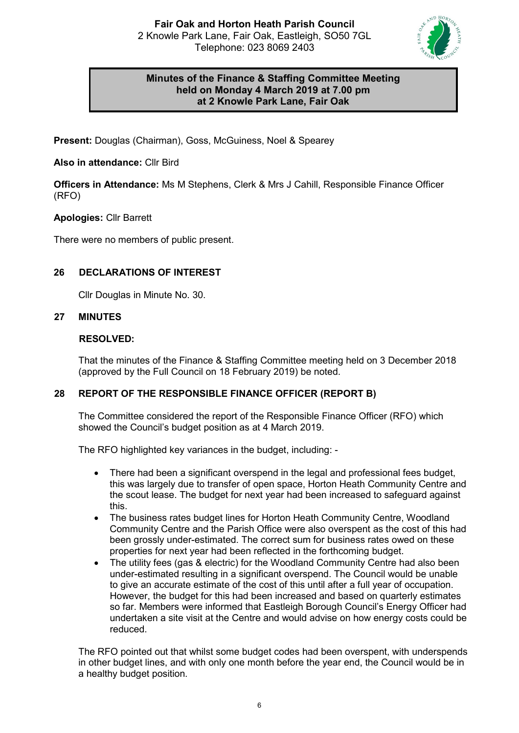

## **Minutes of the Finance & Staffing Committee Meeting held on Monday 4 March 2019 at 7.00 pm at 2 Knowle Park Lane, Fair Oak**

**Present:** Douglas (Chairman), Goss, McGuiness, Noel & Spearey

## **Also in attendance:** Cllr Bird

**Officers in Attendance:** Ms M Stephens, Clerk & Mrs J Cahill, Responsible Finance Officer (RFO)

## **Apologies:** Cllr Barrett

There were no members of public present.

## **26 DECLARATIONS OF INTEREST**

Cllr Douglas in Minute No. 30.

## **27 MINUTES**

## **RESOLVED:**

That the minutes of the Finance & Staffing Committee meeting held on 3 December 2018 (approved by the Full Council on 18 February 2019) be noted.

## **28 REPORT OF THE RESPONSIBLE FINANCE OFFICER (REPORT B)**

The Committee considered the report of the Responsible Finance Officer (RFO) which showed the Council's budget position as at 4 March 2019.

The RFO highlighted key variances in the budget, including: -

- There had been a significant overspend in the legal and professional fees budget, this was largely due to transfer of open space, Horton Heath Community Centre and the scout lease. The budget for next year had been increased to safeguard against this.
- The business rates budget lines for Horton Heath Community Centre, Woodland Community Centre and the Parish Office were also overspent as the cost of this had been grossly under-estimated. The correct sum for business rates owed on these properties for next year had been reflected in the forthcoming budget.
- The utility fees (gas & electric) for the Woodland Community Centre had also been under-estimated resulting in a significant overspend. The Council would be unable to give an accurate estimate of the cost of this until after a full year of occupation. However, the budget for this had been increased and based on quarterly estimates so far. Members were informed that Eastleigh Borough Council's Energy Officer had undertaken a site visit at the Centre and would advise on how energy costs could be reduced.

The RFO pointed out that whilst some budget codes had been overspent, with underspends in other budget lines, and with only one month before the year end, the Council would be in a healthy budget position.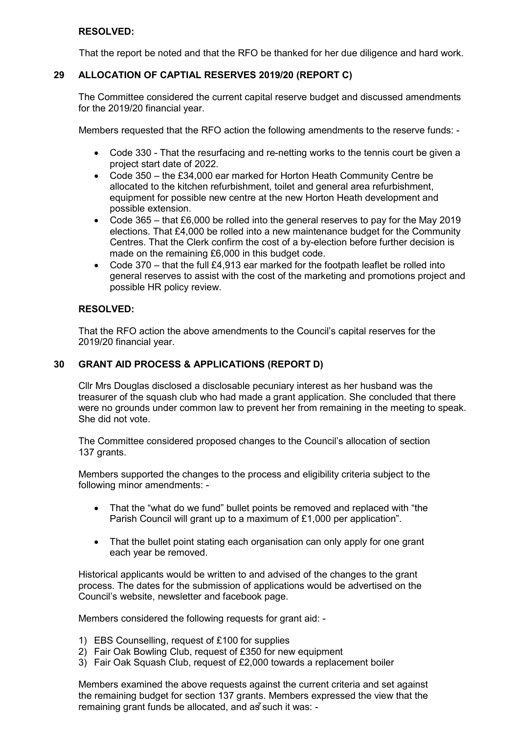## **RESOLVED:**

That the report be noted and that the RFO be thanked for her due diligence and hard work.

## **29 ALLOCATION OF CAPTIAL RESERVES 2019/20 (REPORT C)**

The Committee considered the current capital reserve budget and discussed amendments for the 2019/20 financial year.

Members requested that the RFO action the following amendments to the reserve funds: -

- Code 330 That the resurfacing and re-netting works to the tennis court be given a project start date of 2022.
- Code 350 the £34,000 ear marked for Horton Heath Community Centre be allocated to the kitchen refurbishment, toilet and general area refurbishment, equipment for possible new centre at the new Horton Heath development and possible extension.
- Code 365 that £6,000 be rolled into the general reserves to pay for the May 2019 elections. That £4,000 be rolled into a new maintenance budget for the Community Centres. That the Clerk confirm the cost of a by-election before further decision is made on the remaining £6,000 in this budget code.
- Code  $370$  that the full £4,913 ear marked for the footpath leaflet be rolled into general reserves to assist with the cost of the marketing and promotions project and possible HR policy review.

## **RESOLVED:**

That the RFO action the above amendments to the Council's capital reserves for the 2019/20 financial year.

## **30 GRANT AID PROCESS & APPLICATIONS (REPORT D)**

Cllr Mrs Douglas disclosed a disclosable pecuniary interest as her husband was the treasurer of the squash club who had made a grant application. She concluded that there were no grounds under common law to prevent her from remaining in the meeting to speak. She did not vote.

The Committee considered proposed changes to the Council's allocation of section 137 grants.

Members supported the changes to the process and eligibility criteria subject to the following minor amendments: -

- That the "what do we fund" bullet points be removed and replaced with "the Parish Council will grant up to a maximum of £1,000 per application".
- That the bullet point stating each organisation can only apply for one grant each year be removed.

Historical applicants would be written to and advised of the changes to the grant process. The dates for the submission of applications would be advertised on the Council's website, newsletter and facebook page.

Members considered the following requests for grant aid: -

- 1) EBS Counselling, request of £100 for supplies
- 2) Fair Oak Bowling Club, request of £350 for new equipment
- 3) Fair Oak Squash Club, request of £2,000 towards a replacement boiler

Members examined the above requests against the current criteria and set against the remaining budget for section 137 grants. Members expressed the view that the remaining grant funds be allocated, and  $a\bar{g}$  such it was: -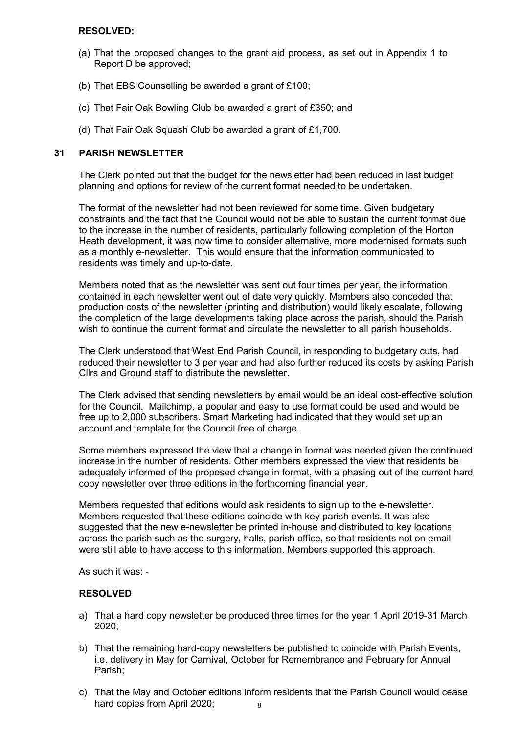## **RESOLVED:**

- (a) That the proposed changes to the grant aid process, as set out in Appendix 1 to Report D be approved;
- (b) That EBS Counselling be awarded a grant of £100;
- (c) That Fair Oak Bowling Club be awarded a grant of £350; and
- (d) That Fair Oak Squash Club be awarded a grant of £1,700.

## **31 PARISH NEWSLETTER**

The Clerk pointed out that the budget for the newsletter had been reduced in last budget planning and options for review of the current format needed to be undertaken.

The format of the newsletter had not been reviewed for some time. Given budgetary constraints and the fact that the Council would not be able to sustain the current format due to the increase in the number of residents, particularly following completion of the Horton Heath development, it was now time to consider alternative, more modernised formats such as a monthly e-newsletter. This would ensure that the information communicated to residents was timely and up-to-date.

Members noted that as the newsletter was sent out four times per year, the information contained in each newsletter went out of date very quickly. Members also conceded that production costs of the newsletter (printing and distribution) would likely escalate, following the completion of the large developments taking place across the parish, should the Parish wish to continue the current format and circulate the newsletter to all parish households.

The Clerk understood that West End Parish Council, in responding to budgetary cuts, had reduced their newsletter to 3 per year and had also further reduced its costs by asking Parish Cllrs and Ground staff to distribute the newsletter.

The Clerk advised that sending newsletters by email would be an ideal cost-effective solution for the Council. Mailchimp, a popular and easy to use format could be used and would be free up to 2,000 subscribers. Smart Marketing had indicated that they would set up an account and template for the Council free of charge.

Some members expressed the view that a change in format was needed given the continued increase in the number of residents. Other members expressed the view that residents be adequately informed of the proposed change in format, with a phasing out of the current hard copy newsletter over three editions in the forthcoming financial year.

Members requested that editions would ask residents to sign up to the e-newsletter. Members requested that these editions coincide with key parish events. It was also suggested that the new e-newsletter be printed in-house and distributed to key locations across the parish such as the surgery, halls, parish office, so that residents not on email were still able to have access to this information. Members supported this approach.

As such it was: -

## **RESOLVED**

- a) That a hard copy newsletter be produced three times for the year 1 April 2019-31 March 2020;
- b) That the remaining hard-copy newsletters be published to coincide with Parish Events, i.e. delivery in May for Carnival, October for Remembrance and February for Annual Parish;
- c) That the May and October editions inform residents that the Parish Council would cease hard copies from April 2020; 8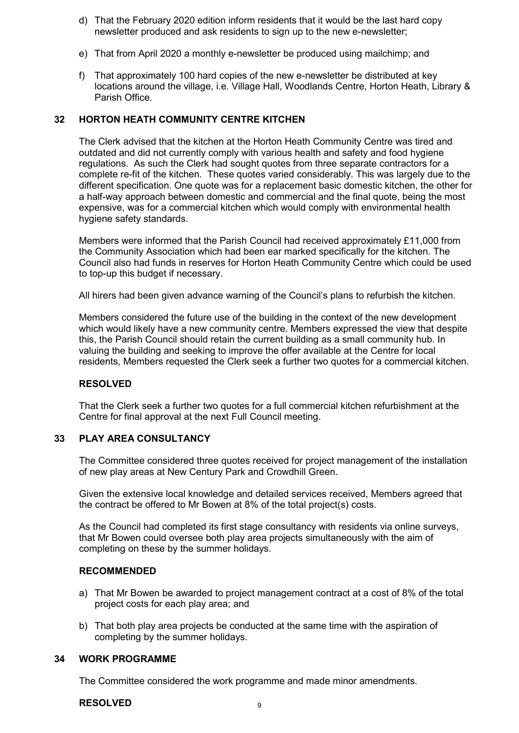- d) That the February 2020 edition inform residents that it would be the last hard copy newsletter produced and ask residents to sign up to the new e-newsletter;
- e) That from April 2020 a monthly e-newsletter be produced using mailchimp; and
- f) That approximately 100 hard copies of the new e-newsletter be distributed at key locations around the village, i.e. Village Hall, Woodlands Centre, Horton Heath, Library & Parish Office.

## **32 HORTON HEATH COMMUNITY CENTRE KITCHEN**

The Clerk advised that the kitchen at the Horton Heath Community Centre was tired and outdated and did not currently comply with various health and safety and food hygiene regulations. As such the Clerk had sought quotes from three separate contractors for a complete re-fit of the kitchen. These quotes varied considerably. This was largely due to the different specification. One quote was for a replacement basic domestic kitchen, the other for a half-way approach between domestic and commercial and the final quote, being the most expensive, was for a commercial kitchen which would comply with environmental health hygiene safety standards.

Members were informed that the Parish Council had received approximately £11,000 from the Community Association which had been ear marked specifically for the kitchen. The Council also had funds in reserves for Horton Heath Community Centre which could be used to top-up this budget if necessary.

All hirers had been given advance warning of the Council's plans to refurbish the kitchen.

Members considered the future use of the building in the context of the new development which would likely have a new community centre. Members expressed the view that despite this, the Parish Council should retain the current building as a small community hub. In valuing the building and seeking to improve the offer available at the Centre for local residents, Members requested the Clerk seek a further two quotes for a commercial kitchen.

#### **RESOLVED**

That the Clerk seek a further two quotes for a full commercial kitchen refurbishment at the Centre for final approval at the next Full Council meeting.

## **33 PLAY AREA CONSULTANCY**

The Committee considered three quotes received for project management of the installation of new play areas at New Century Park and Crowdhill Green.

Given the extensive local knowledge and detailed services received, Members agreed that the contract be offered to Mr Bowen at 8% of the total project(s) costs.

As the Council had completed its first stage consultancy with residents via online surveys, that Mr Bowen could oversee both play area projects simultaneously with the aim of completing on these by the summer holidays.

## **RECOMMENDED**

- a) That Mr Bowen be awarded to project management contract at a cost of 8% of the total project costs for each play area; and
- b) That both play area projects be conducted at the same time with the aspiration of completing by the summer holidays.

#### **34 WORK PROGRAMME**

The Committee considered the work programme and made minor amendments.

**RESOLVED**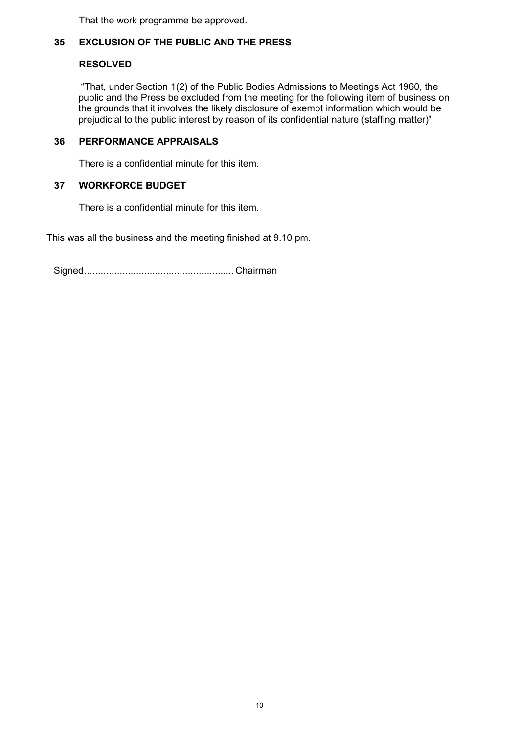That the work programme be approved.

## **35 EXCLUSION OF THE PUBLIC AND THE PRESS**

## **RESOLVED**

"That, under Section 1(2) of the Public Bodies Admissions to Meetings Act 1960, the public and the Press be excluded from the meeting for the following item of business on the grounds that it involves the likely disclosure of exempt information which would be prejudicial to the public interest by reason of its confidential nature (staffing matter)"

## **36 PERFORMANCE APPRAISALS**

There is a confidential minute for this item.

## **37 WORKFORCE BUDGET**

There is a confidential minute for this item.

This was all the business and the meeting finished at 9.10 pm.

Signed....................................................... Chairman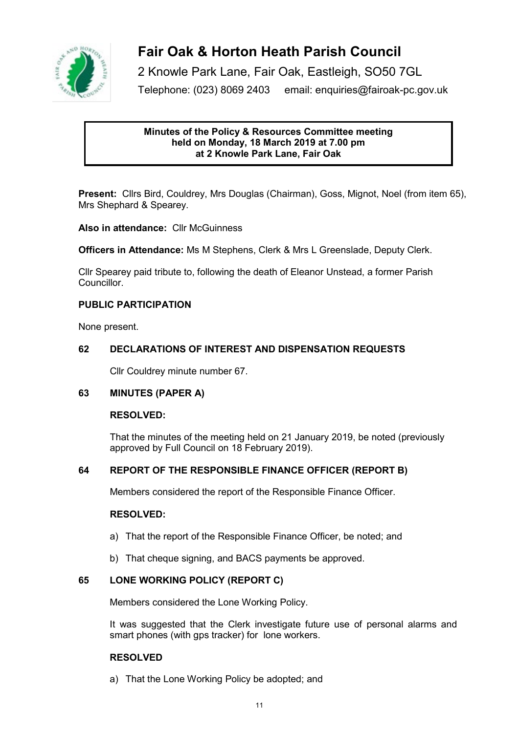

2 Knowle Park Lane, Fair Oak, Eastleigh, SO50 7GL

Telephone: (023) 8069 2403 email: enquiries@fairoak-pc.gov.uk

## **Minutes of the Policy & Resources Committee meeting held on Monday, 18 March 2019 at 7.00 pm at 2 Knowle Park Lane, Fair Oak**

**Present:** Cllrs Bird, Couldrey, Mrs Douglas (Chairman), Goss, Mignot, Noel (from item 65), Mrs Shephard & Spearey.

**Also in attendance:** Cllr McGuinness

**Officers in Attendance:** Ms M Stephens, Clerk & Mrs L Greenslade, Deputy Clerk.

Cllr Spearey paid tribute to, following the death of Eleanor Unstead, a former Parish Councillor.

## **PUBLIC PARTICIPATION**

None present.

## **62 DECLARATIONS OF INTEREST AND DISPENSATION REQUESTS**

Cllr Couldrey minute number 67.

## **63 MINUTES (PAPER A)**

## **RESOLVED:**

That the minutes of the meeting held on 21 January 2019, be noted (previously approved by Full Council on 18 February 2019).

## **64 REPORT OF THE RESPONSIBLE FINANCE OFFICER (REPORT B)**

Members considered the report of the Responsible Finance Officer.

## **RESOLVED:**

- a) That the report of the Responsible Finance Officer, be noted; and
- b) That cheque signing, and BACS payments be approved.

## **65 LONE WORKING POLICY (REPORT C)**

Members considered the Lone Working Policy.

It was suggested that the Clerk investigate future use of personal alarms and smart phones (with gps tracker) for lone workers.

## **RESOLVED**

a) That the Lone Working Policy be adopted; and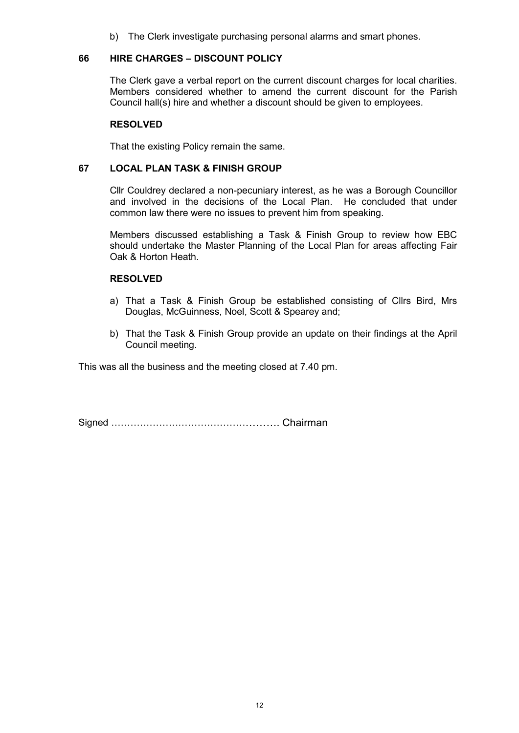b) The Clerk investigate purchasing personal alarms and smart phones.

## **66 HIRE CHARGES – DISCOUNT POLICY**

The Clerk gave a verbal report on the current discount charges for local charities. Members considered whether to amend the current discount for the Parish Council hall(s) hire and whether a discount should be given to employees.

#### **RESOLVED**

That the existing Policy remain the same.

## **67 LOCAL PLAN TASK & FINISH GROUP**

Cllr Couldrey declared a non-pecuniary interest, as he was a Borough Councillor and involved in the decisions of the Local Plan. He concluded that under common law there were no issues to prevent him from speaking.

Members discussed establishing a Task & Finish Group to review how EBC should undertake the Master Planning of the Local Plan for areas affecting Fair Oak & Horton Heath.

#### **RESOLVED**

- a) That a Task & Finish Group be established consisting of Cllrs Bird, Mrs Douglas, McGuinness, Noel, Scott & Spearey and;
- b) That the Task & Finish Group provide an update on their findings at the April Council meeting.

This was all the business and the meeting closed at 7.40 pm.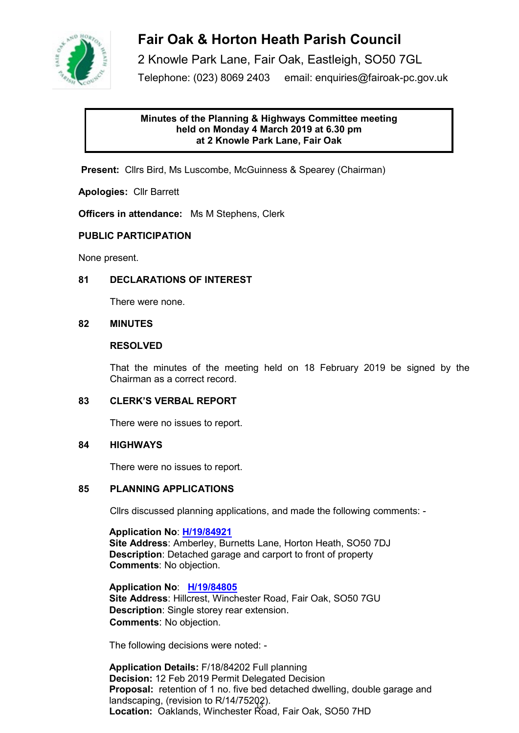

2 Knowle Park Lane, Fair Oak, Eastleigh, SO50 7GL Telephone: (023) 8069 2403 email: enquiries@fairoak-pc.gov.uk

## **Minutes of the Planning & Highways Committee meeting held on Monday 4 March 2019 at 6.30 pm at 2 Knowle Park Lane, Fair Oak**

**Present:** Cllrs Bird, Ms Luscombe, McGuinness & Spearey (Chairman)

**Apologies:** Cllr Barrett

**Officers in attendance:** Ms M Stephens, Clerk

## **PUBLIC PARTICIPATION**

None present.

## **81 DECLARATIONS OF INTEREST**

There were none.

## **82 MINUTES**

## **RESOLVED**

That the minutes of the meeting held on 18 February 2019 be signed by the Chairman as a correct record.

## **83 CLERK'S VERBAL REPORT**

There were no issues to report.

## **84 HIGHWAYS**

There were no issues to report.

## **85 PLANNING APPLICATIONS**

Cllrs discussed planning applications, and made the following comments: -

**Application No**: **[H/19/84921](https://planning.eastleigh.gov.uk/s/papplication/a1M1v000005rgnH) Site Address**: Amberley, Burnetts Lane, Horton Heath, SO50 7DJ **Description**: Detached garage and carport to front of property  **Comments**: No objection.

**Application No**: **[H/19/84805](https://planning.eastleigh.gov.uk/s/papplication/a1M1v000004Iu3w) Site Address**: Hillcrest, Winchester Road, Fair Oak, SO50 7GU **Description**: Single storey rear extension.  **Comments**: No objection.

The following decisions were noted: -

**Application Details:** F/18/84202 Full planning **Decision:** 12 Feb 2019 Permit Delegated Decision **Proposal:** retention of 1 no. five bed detached dwelling, double garage and landscaping, (revision to R/14/75202). **Location:** Oaklands, Winchester Road, Fair Oak, SO50 7HD 13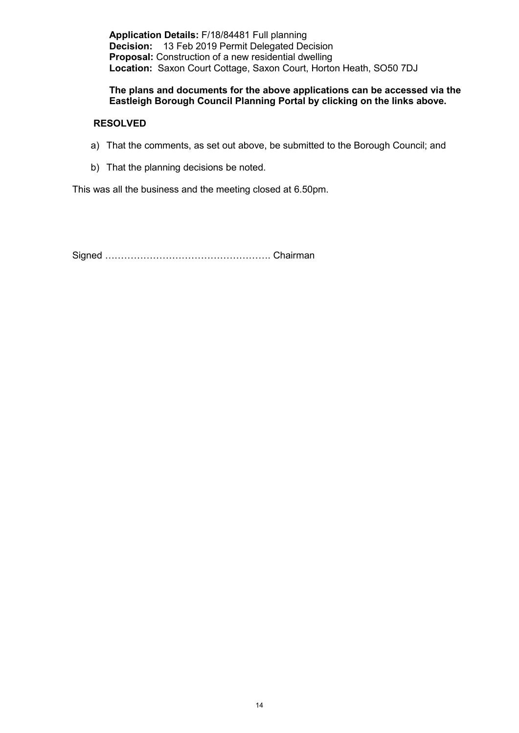**Application Details:** F/18/84481 Full planning **Decision:** 13 Feb 2019 Permit Delegated Decision **Proposal:** Construction of a new residential dwelling **Location:** Saxon Court Cottage, Saxon Court, Horton Heath, SO50 7DJ

## **The plans and documents for the above applications can be accessed via the Eastleigh Borough Council Planning Portal by clicking on the links above.**

## **RESOLVED**

- a) That the comments, as set out above, be submitted to the Borough Council; and
- b) That the planning decisions be noted.

This was all the business and the meeting closed at 6.50pm.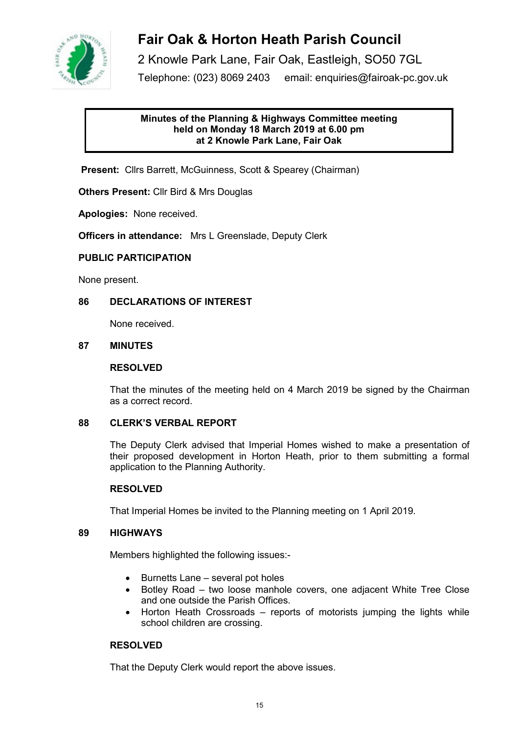

2 Knowle Park Lane, Fair Oak, Eastleigh, SO50 7GL Telephone: (023) 8069 2403 email: enquiries@fairoak-pc.gov.uk

## **Minutes of the Planning & Highways Committee meeting held on Monday 18 March 2019 at 6.00 pm at 2 Knowle Park Lane, Fair Oak**

**Present:** Cllrs Barrett, McGuinness, Scott & Spearey (Chairman)

**Others Present:** Cllr Bird & Mrs Douglas

**Apologies:** None received.

**Officers in attendance:** Mrs L Greenslade, Deputy Clerk

## **PUBLIC PARTICIPATION**

None present.

## **86 DECLARATIONS OF INTEREST**

None received.

## **87 MINUTES**

#### **RESOLVED**

That the minutes of the meeting held on 4 March 2019 be signed by the Chairman as a correct record.

#### **88 CLERK'S VERBAL REPORT**

The Deputy Clerk advised that Imperial Homes wished to make a presentation of their proposed development in Horton Heath, prior to them submitting a formal application to the Planning Authority.

#### **RESOLVED**

That Imperial Homes be invited to the Planning meeting on 1 April 2019.

#### **89 HIGHWAYS**

Members highlighted the following issues:-

- Burnetts Lane several pot holes
- Botley Road two loose manhole covers, one adjacent White Tree Close and one outside the Parish Offices.
- Horton Heath Crossroads reports of motorists jumping the lights while school children are crossing.

## **RESOLVED**

That the Deputy Clerk would report the above issues.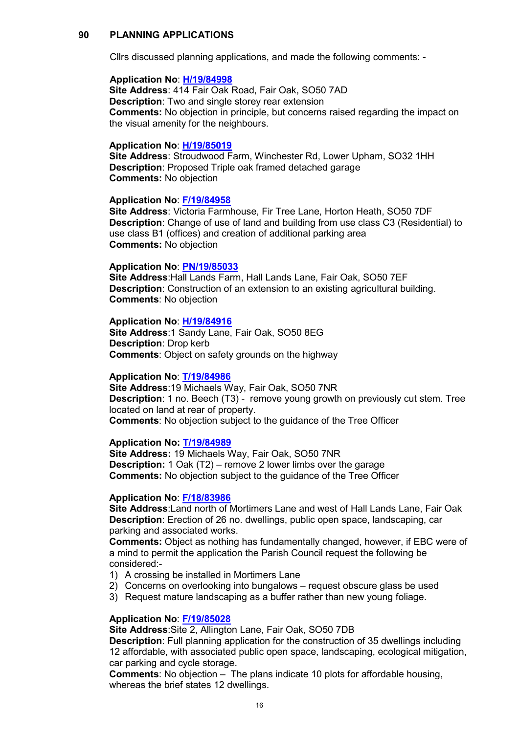## **90 PLANNING APPLICATIONS**

Cllrs discussed planning applications, and made the following comments: -

#### **Application No**: **[H/19/84998](https://planning.eastleigh.gov.uk/s/papplication/a1M1v0000064aFS)**

**Site Address**: 414 Fair Oak Road, Fair Oak, SO50 7AD **Description**: Two and single storey rear extension **Comments:** No objection in principle, but concerns raised regarding the impact on the visual amenity for the neighbours.

#### **Application No**: **[H/19/85019](https://planning.eastleigh.gov.uk/s/papplication/a1M1v0000064fVo)**

**Site Address**: Stroudwood Farm, Winchester Rd, Lower Upham, SO32 1HH **Description**: Proposed Triple oak framed detached garage **Comments:** No objection

#### **Application No**: **[F/19/84958](https://planning.eastleigh.gov.uk/s/papplication/a1M1v000005rhVX)**

**Site Address**: Victoria Farmhouse, Fir Tree Lane, Horton Heath, SO50 7DF **Description**: Change of use of land and building from use class C3 (Residential) to use class B1 (offices) and creation of additional parking area **Comments:** No objection

#### **Application No**: **[PN/19/85033](https://planning.eastleigh.gov.uk/s/papplication/a1M1v0000064fsc)**

**Site Address**:Hall Lands Farm, Hall Lands Lane, Fair Oak, SO50 7EF **Description**: Construction of an extension to an existing agricultural building. **Comments**: No objection

#### **Application No**: **[H/19/84916](https://planning.eastleigh.gov.uk/s/papplication/a1M1v000005rglk)**

**Site Address**:1 Sandy Lane, Fair Oak, SO50 8EG **Description**: Drop kerb **Comments**: Object on safety grounds on the highway

#### **Application No**: **[T/19/84986](https://planning.eastleigh.gov.uk/s/papplication/a1M1v0000064Zh7)**

**Site Address**:19 Michaels Way, Fair Oak, SO50 7NR **Description**: 1 no. Beech (T3) - remove young growth on previously cut stem. Tree located on land at rear of property. **Comments**: No objection subject to the guidance of the Tree Officer

## **Application No: [T/19/84989](https://planning.eastleigh.gov.uk/s/papplication/a1M1v0000064Zln)**

**Site Address:** 19 Michaels Way, Fair Oak, SO50 7NR **Description:** 1 Oak (T2) – remove 2 lower limbs over the garage **Comments:** No objection subject to the guidance of the Tree Officer

#### **Application No**: **[F/18/83986](https://planning.eastleigh.gov.uk/s/papplication/a1M1v00000416ax)**

**Site Address**:Land north of Mortimers Lane and west of Hall Lands Lane, Fair Oak **Description**: Erection of 26 no. dwellings, public open space, landscaping, car parking and associated works.

**Comments:** Object as nothing has fundamentally changed, however, if EBC were of a mind to permit the application the Parish Council request the following be considered:-

- 1) A crossing be installed in Mortimers Lane
- 2) Concerns on overlooking into bungalows request obscure glass be used
- 3) Request mature landscaping as a buffer rather than new young foliage.

#### **Application No**: **[F/19/85028](https://planning.eastleigh.gov.uk/s/papplication/a1M1v0000064fYO)**

**Site Address**:Site 2, Allington Lane, Fair Oak, SO50 7DB

**Description**: Full planning application for the construction of 35 dwellings including 12 affordable, with associated public open space, landscaping, ecological mitigation, car parking and cycle storage.

**Comments**: No objection – The plans indicate 10 plots for affordable housing, whereas the brief states 12 dwellings.